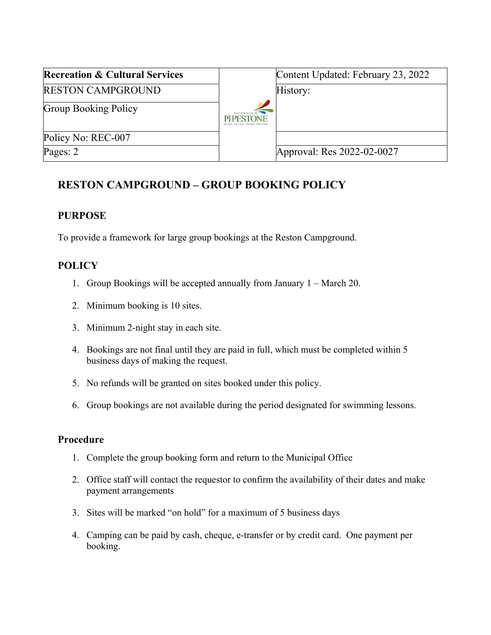| <b>Recreation &amp; Cultural Services</b> | Content Updated: February 23, 2022 |
|-------------------------------------------|------------------------------------|
| <b>RESTON CAMPGROUND</b>                  | History:                           |
| <b>Group Booking Policy</b>               |                                    |
| Policy No: REC-007                        |                                    |
| Pages: 2                                  | Approval: Res 2022-02-0027         |

# **RESTON CAMPGROUND – GROUP BOOKING POLICY**

### **PURPOSE**

To provide a framework for large group bookings at the Reston Campground.

## **POLICY**

- 1. Group Bookings will be accepted annually from January 1 March 20.
- 2. Minimum booking is 10 sites.
- 3. Minimum 2-night stay in each site.
- 4. Bookings are not final until they are paid in full, which must be completed within 5 business days of making the request.
- 5. No refunds will be granted on sites booked under this policy.
- 6. Group bookings are not available during the period designated for swimming lessons.

#### **Procedure**

- 1. Complete the group booking form and return to the Municipal Office
- 2. Office staff will contact the requestor to confirm the availability of their dates and make payment arrangements
- 3. Sites will be marked "on hold" for a maximum of 5 business days
- 4. Camping can be paid by cash, cheque, e-transfer or by credit card. One payment per booking.